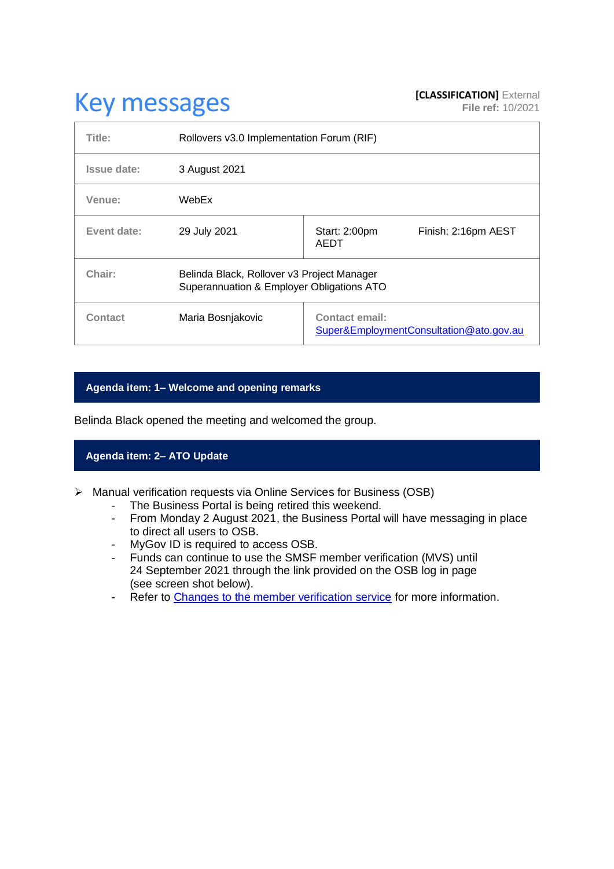# **Key messages [CLASSIFICATION]** External **[CLASSIFICATION]** External

| Title:      | Rollovers v3.0 Implementation Forum (RIF)                                               |                                                                  |  |
|-------------|-----------------------------------------------------------------------------------------|------------------------------------------------------------------|--|
| Issue date: | 3 August 2021                                                                           |                                                                  |  |
| Venue:      | WebEx                                                                                   |                                                                  |  |
| Event date: | 29 July 2021                                                                            | Start: 2:00pm<br>Finish: 2:16pm AEST<br>AEDT                     |  |
| Chair:      | Belinda Black, Rollover v3 Project Manager<br>Superannuation & Employer Obligations ATO |                                                                  |  |
| Contact     | Maria Bosnjakovic                                                                       | <b>Contact email:</b><br>Super&EmploymentConsultation@ato.gov.au |  |

### **Agenda item: 1– Welcome and opening remarks**

Belinda Black opened the meeting and welcomed the group.

## **Agenda item: 2– ATO Update**

- ➢ Manual verification requests via Online Services for Business (OSB)
	- The Business Portal is being retired this weekend.
	- From Monday 2 August 2021, the Business Portal will have messaging in place to direct all users to OSB.
	- MyGov ID is required to access OSB.
	- Funds can continue to use the SMSF member verification (MVS) until 24 September 2021 through the link provided on the OSB log in page (see screen shot below).
	- Refer to [Changes to the member verification service](https://www.ato.gov.au/Super/APRA-regulated-funds/In-detail/News/Changes-to-the-member-verification-service/) for more information.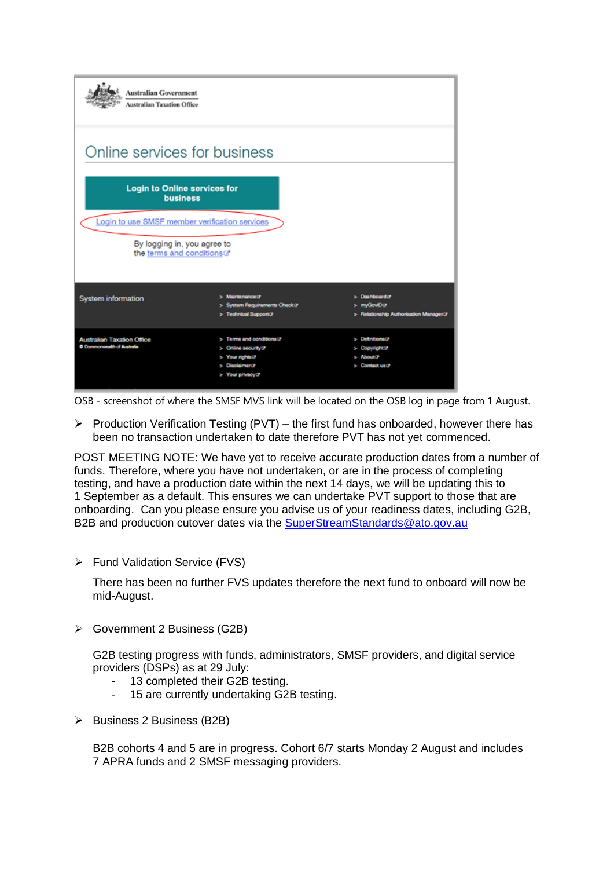| <b>Australian Government</b><br><b>Australian Taxation Office</b>                                         |                                                                                                         |                                                                                 |  |  |
|-----------------------------------------------------------------------------------------------------------|---------------------------------------------------------------------------------------------------------|---------------------------------------------------------------------------------|--|--|
| Online services for business                                                                              |                                                                                                         |                                                                                 |  |  |
| <b>Login to Online services for</b><br><b>business</b>                                                    |                                                                                                         |                                                                                 |  |  |
| Login to use SMSF member verification services<br>By logging in, you agree to<br>the terms and conditions |                                                                                                         |                                                                                 |  |  |
| <b>System information</b>                                                                                 | > Maintenance@<br>> System Requirements Check@<br>> Technical Support(?)                                | $>$ Duahboard $\sigma$<br>> myGovID in<br>> Relationship Authorization Manager@ |  |  |
| <b>Australian Taxation Office</b><br>Commonwealth of Australia                                            | Terms and conditions of<br>> Online seourity in<br>> Your rights of<br>Disolaimer@<br>> Your privacy of | > Definitions?<br>> Copyright in<br>About 7<br>Contact us?                      |  |  |

OSB - screenshot of where the SMSF MVS link will be located on the OSB log in page from 1 August.

➢ Production Verification Testing (PVT) – the first fund has onboarded, however there has been no transaction undertaken to date therefore PVT has not yet commenced.

POST MEETING NOTE: We have yet to receive accurate production dates from a number of funds. Therefore, where you have not undertaken, or are in the process of completing testing, and have a production date within the next 14 days, we will be updating this to 1 September as a default. This ensures we can undertake PVT support to those that are onboarding. Can you please ensure you advise us of your readiness dates, including G2B, B2B and production cutover dates via the [SuperStreamStandards@ato.gov.au](mailto:SuperStreamStandards@ato.gov.au)

➢ Fund Validation Service (FVS)

There has been no further FVS updates therefore the next fund to onboard will now be mid-August.

➢ Government 2 Business (G2B)

G2B testing progress with funds, administrators, SMSF providers, and digital service providers (DSPs) as at 29 July:

- 13 completed their G2B testing.
- 15 are currently undertaking G2B testing.
- ➢ Business 2 Business (B2B)

B2B cohorts 4 and 5 are in progress. Cohort 6/7 starts Monday 2 August and includes 7 APRA funds and 2 SMSF messaging providers.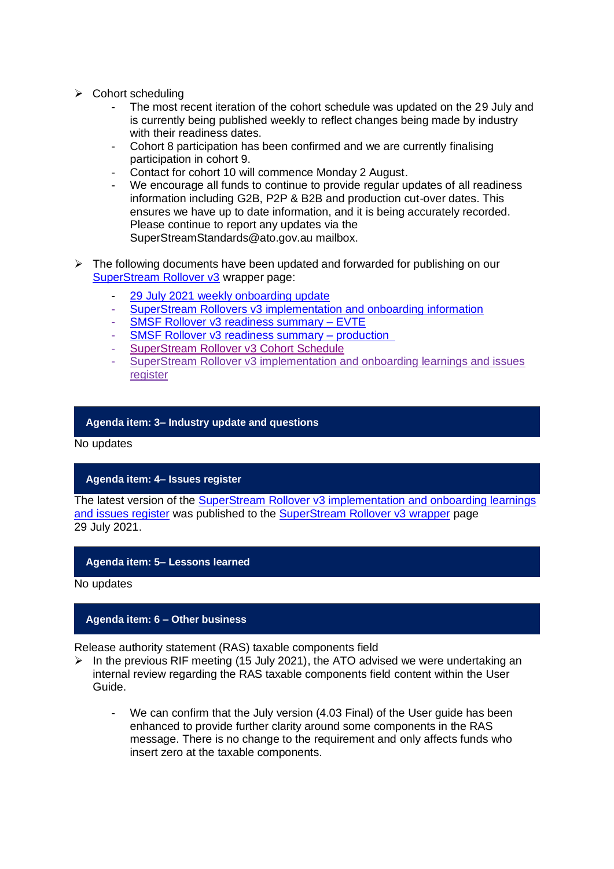- ➢ Cohort scheduling
	- The most recent iteration of the cohort schedule was updated on the 29 July and is currently being published weekly to reflect changes being made by industry with their readiness dates.
	- Cohort 8 participation has been confirmed and we are currently finalising participation in cohort 9.
	- Contact for cohort 10 will commence Monday 2 August.
	- We encourage all funds to continue to provide regular updates of all readiness information including G2B, P2P & B2B and production cut-over dates. This ensures we have up to date information, and it is being accurately recorded. Please continue to report any updates via the SuperStreamStandards@ato.gov.au mailbox.
- $\triangleright$  The following documents have been updated and forwarded for publishing on our [SuperStream Rollover v3](https://www.ato.gov.au/Super/Sup/SuperStream-Rollover-v3/) wrapper page:
	- [29 July 2021 weekly onboarding update](https://www.ato.gov.au/uploadedFiles/Content/SPR/downloads/29_July_2021.pdf)
	- [SuperStream Rollovers v3 implementation and onboarding information](https://www.ato.gov.au/uploadedFiles/Content/SPR/downloads/superstream_rollovers_v3_implementation_and_onboarding_information.pdf)
	- SMSF Rollover [v3 readiness summary –](https://www.ato.gov.au/uploadedFiles/Content/SPR/downloads/SMSF_Rollover_v3_Readiness_Summary-EVTE.pdf) EVTE
	- SMSF Rollover [v3 readiness summary –](https://www.ato.gov.au/uploadedFiles/Content/SPR/downloads/smsf_rollover_v3_readiness_summary_production.pdf) production
	- [SuperStream Rollover v3 Cohort Schedule](https://www.ato.gov.au/uploadedFiles/Content/SPR/downloads/SuperStream_Rollover_v3_Cohort_Schedule.pdf)
	- [SuperStream Rollover v3 implementation and onboarding learnings and issues](https://www.ato.gov.au/uploadedFiles/Content/SPR/downloads/SuperStream_Rollovers_v3_Implementation_and_onboarding_learning_and_issues_register.pdf)  [register](https://www.ato.gov.au/uploadedFiles/Content/SPR/downloads/SuperStream_Rollovers_v3_Implementation_and_onboarding_learning_and_issues_register.pdf)

#### **Agenda item: 3– Industry update and questions**

No updates

#### **Agenda item: 4– Issues register**

The latest version of the [SuperStream Rollover v3 implementation and onboarding learnings](https://www.ato.gov.au/uploadedFiles/Content/SPR/downloads/SuperStream_Rollovers_v3_Implementation_and_onboarding_learning_and_issues_register.pdf)  [and issues register](https://www.ato.gov.au/uploadedFiles/Content/SPR/downloads/SuperStream_Rollovers_v3_Implementation_and_onboarding_learning_and_issues_register.pdf) was published to the [SuperStream Rollover v3 wrapper](https://www.ato.gov.au/Super/Sup/SuperStream-Rollover-v3/) page 29 July 2021.

#### **Agenda item: 5– Lessons learned**

No updates

#### **Agenda item: 6 – Other business**

Release authority statement (RAS) taxable components field

- ➢ In the previous RIF meeting (15 July 2021), the ATO advised we were undertaking an internal review regarding the RAS taxable components field content within the User Guide.
	- We can confirm that the July version (4.03 Final) of the User guide has been enhanced to provide further clarity around some components in the RAS message. There is no change to the requirement and only affects funds who insert zero at the taxable components.